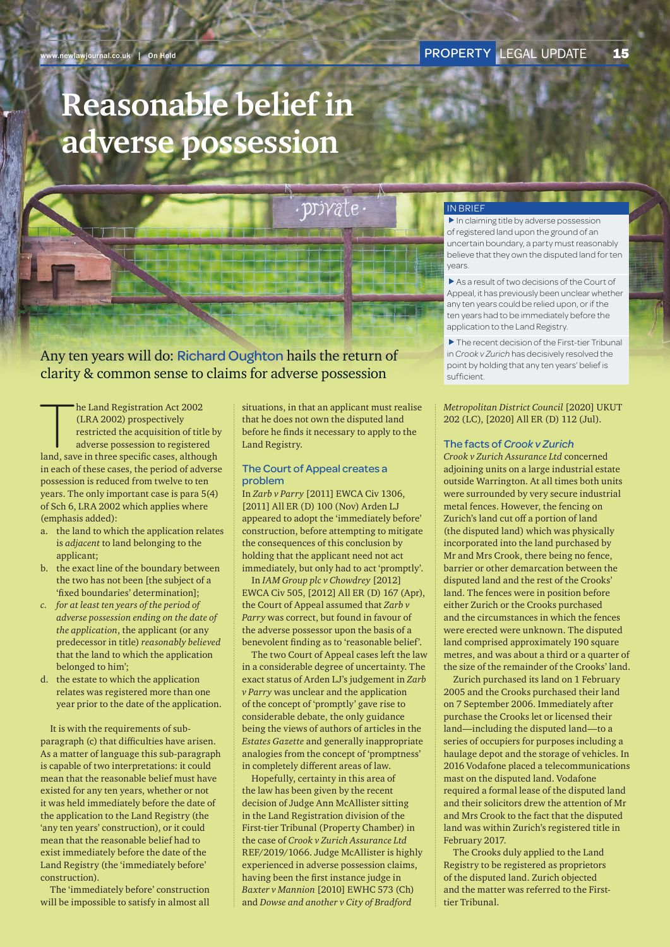# **Reasonable belief in adverse possession**



## IN BRIEF

 $\blacktriangleright$  In claiming title by adverse possession of registered land upon the ground of an uncertain boundary, a party must reasonably believe that they own the disputed land for ten years.

 $\blacktriangleright$  As a result of two decisions of the Court of Appeal, it has previously been unclear whether any ten years could be relied upon, or if the ten years had to be immediately before the application to the Land Registry.

 $\blacktriangleright$  The recent decision of the First-tier Tribunal in *Crook v Zurich* has decisively resolved the point by holding that any ten years' belief is sufficient.

## *Metropolitan District Council* [2020] UKUT 202 (LC), [2020] All ER (D) 112 (Jul).

### The facts of *Crook v Zurich*

*Crook v Zurich Assurance Ltd* concerned adjoining units on a large industrial estate outside Warrington. At all times both units were surrounded by very secure industrial metal fences. However, the fencing on Zurich's land cut off a portion of land (the disputed land) which was physically incorporated into the land purchased by Mr and Mrs Crook, there being no fence, barrier or other demarcation between the disputed land and the rest of the Crooks' land. The fences were in position before either Zurich or the Crooks purchased and the circumstances in which the fences were erected were unknown. The disputed land comprised approximately 190 square metres, and was about a third or a quarter of the size of the remainder of the Crooks' land.

Zurich purchased its land on 1 February 2005 and the Crooks purchased their land on 7 September 2006. Immediately after purchase the Crooks let or licensed their land—including the disputed land—to a series of occupiers for purposes including a haulage depot and the storage of vehicles. In 2016 Vodafone placed a telecommunications mast on the disputed land. Vodafone required a formal lease of the disputed land and their solicitors drew the attention of Mr and Mrs Crook to the fact that the disputed land was within Zurich's registered title in February 2017.

The Crooks duly applied to the Land Registry to be registered as proprietors of the disputed land. Zurich objected and the matter was referred to the Firsttier Tribunal.

## Any ten years will do: Richard Oughton hails the return of clarity & common sense to claims for adverse possession

he Land Registration Act 2002<br>(LRA 2002) prospectively<br>restricted the acquisition of title by<br>adverse possession to registered<br>land, save in three specific cases, although he Land Registration Act 2002 (LRA 2002) prospectively restricted the acquisition of title by adverse possession to registered

in each of these cases, the period of adverse possession is reduced from twelve to ten years. The only important case is para 5(4) of Sch 6, LRA 2002 which applies where (emphasis added):

- a. the land to which the application relates is *adjacent* to land belonging to the applicant;
- b. the exact line of the boundary between the two has not been [the subject of a 'fixed boundaries' determination];
- *c. for at least ten years of the period of adverse possession ending on the date of the application*, the applicant (or any predecessor in title) *reasonably believed* that the land to which the application belonged to him';
- d. the estate to which the application relates was registered more than one year prior to the date of the application.

It is with the requirements of subparagraph (c) that difficulties have arisen. As a matter of language this sub-paragraph is capable of two interpretations: it could mean that the reasonable belief must have existed for any ten years, whether or not it was held immediately before the date of the application to the Land Registry (the 'any ten years' construction), or it could mean that the reasonable belief had to exist immediately before the date of the Land Registry (the 'immediately before' construction).

The 'immediately before' construction will be impossible to satisfy in almost all

situations, in that an applicant must realise that he does not own the disputed land before he finds it necessary to apply to the Land Registry.

## The Court of Appeal creates a problem

In *Zarb v Parry* [2011] EWCA Civ 1306, [2011] All ER (D) 100 (Nov) Arden LJ appeared to adopt the 'immediately before' construction, before attempting to mitigate the consequences of this conclusion by holding that the applicant need not act immediately, but only had to act 'promptly'.

In *IAM Group plc v Chowdrey* [2012] EWCA Civ 505, [2012] All ER (D) 167 (Apr), the Court of Appeal assumed that *Zarb v Parry* was correct, but found in favour of the adverse possessor upon the basis of a benevolent finding as to 'reasonable belief'.

The two Court of Appeal cases left the law in a considerable degree of uncertainty. The exact status of Arden LJ's judgement in *Zarb v Parry* was unclear and the application of the concept of 'promptly' gave rise to considerable debate, the only guidance being the views of authors of articles in the *Estates Gazette* and generally inappropriate analogies from the concept of 'promptness' in completely different areas of law.

Hopefully, certainty in this area of the law has been given by the recent decision of Judge Ann McAllister sitting in the Land Registration division of the First-tier Tribunal (Property Chamber) in the case of *Crook v Zurich Assurance Ltd* REF/2019/1066. Judge McAllister is highly experienced in adverse possession claims, having been the first instance judge in *Baxter v Mannion* [2010] EWHC 573 (Ch) and *Dowse and another v City of Bradford*